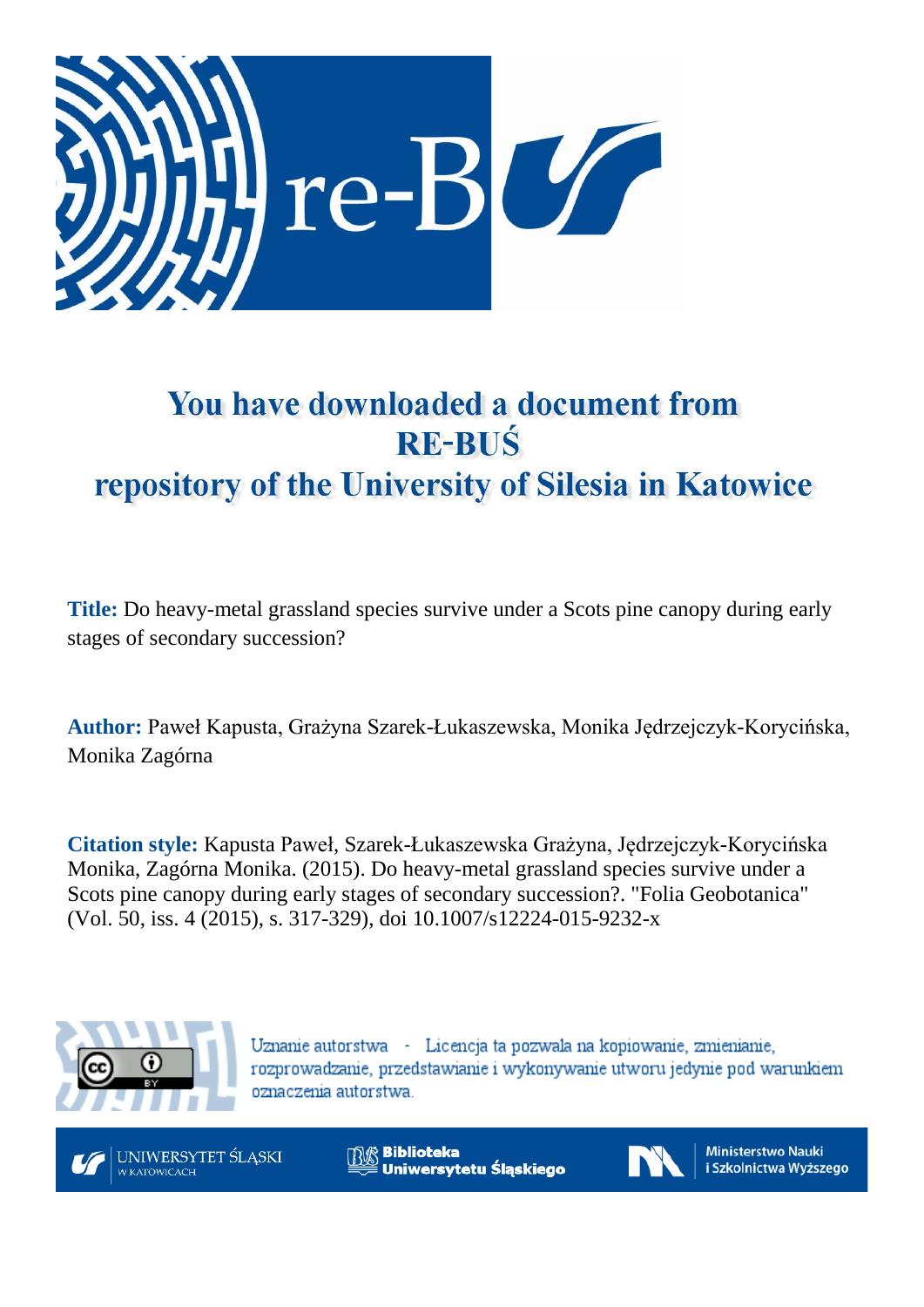

# You have downloaded a document from **RE-BUŚ** repository of the University of Silesia in Katowice

**Title:** Do heavy-metal grassland species survive under a Scots pine canopy during early stages of secondary succession?

**Author:** Paweł Kapusta, Grażyna Szarek-Łukaszewska, Monika Jędrzejczyk-Korycińska, Monika Zagórna

**Citation style:** Kapusta Paweł, Szarek-Łukaszewska Grażyna, Jędrzejczyk-Korycińska Monika, Zagórna Monika. (2015). Do heavy-metal grassland species survive under a Scots pine canopy during early stages of secondary succession?. ["Folia](https://www.scopus.com/sourceid/5700165174?origin=recordpage) Geobotanica" (Vol. 50, iss. 4 (2015), s. 317-329), doi 10.1007/s12224-015-9232-x



Uznanie autorstwa - Licencja ta pozwala na kopiowanie, zmienianie, rozprowadzanie, przedstawianie i wykonywanie utworu jedynie pod warunkiem oznaczenia autorstwa.



**Biblioteka** Uniwersytetu Śląskiego



**Ministerstwo Nauki** i Szkolnictwa Wyższego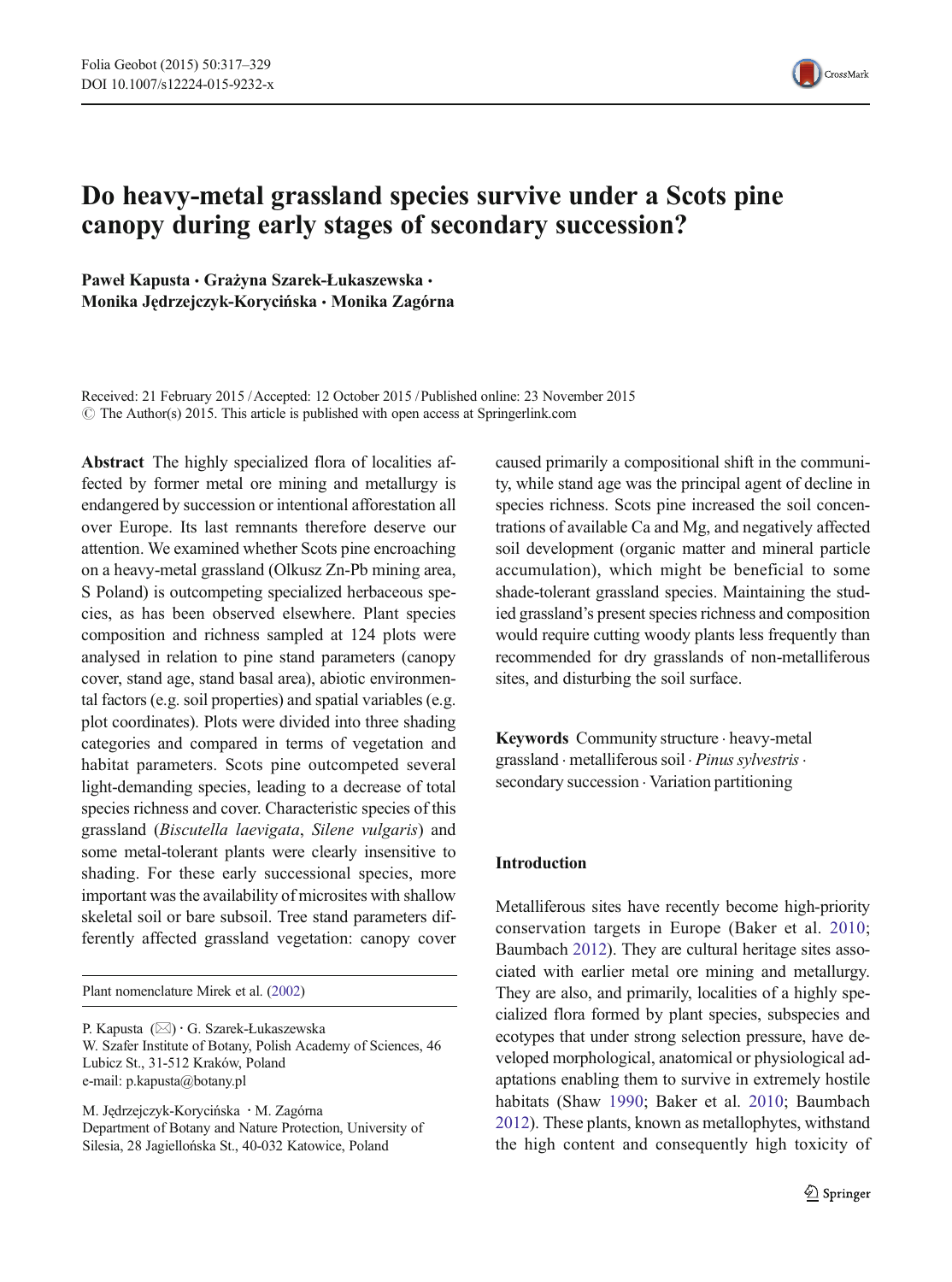

# Do heavy-metal grassland species survive under a Scots pine canopy during early stages of secondary succession?

Paweł Kapusta · Grażyna Szarek-Łukaszewska · Monika Jędrzejczyk-Korycińska & Monika Zagórna

Received: 21 February 2015 /Accepted: 12 October 2015 / Published online: 23 November 2015  $\odot$  The Author(s) 2015. This article is published with open access at Springerlink.com

Abstract The highly specialized flora of localities affected by former metal ore mining and metallurgy is endangered by succession or intentional afforestation all over Europe. Its last remnants therefore deserve our attention. We examined whether Scots pine encroaching on a heavy-metal grassland (Olkusz Zn-Pb mining area, S Poland) is outcompeting specialized herbaceous species, as has been observed elsewhere. Plant species composition and richness sampled at 124 plots were analysed in relation to pine stand parameters (canopy cover, stand age, stand basal area), abiotic environmental factors (e.g. soil properties) and spatial variables (e.g. plot coordinates). Plots were divided into three shading categories and compared in terms of vegetation and habitat parameters. Scots pine outcompeted several light-demanding species, leading to a decrease of total species richness and cover. Characteristic species of this grassland (Biscutella laevigata, Silene vulgaris) and some metal-tolerant plants were clearly insensitive to shading. For these early successional species, more important was the availability of microsites with shallow skeletal soil or bare subsoil. Tree stand parameters differently affected grassland vegetation: canopy cover

Plant nomenclature Mirek et al. [\(2002\)](#page-13-0)

P. Kapusta (⊠) · G. Szarek-Łukaszewska W. Szafer Institute of Botany, Polish Academy of Sciences, 46 Lubicz St., 31-512 Kraków, Poland e-mail: p.kapusta@botany.pl

M. Jędrzejczyk-Korycińska : M. Zagórna Department of Botany and Nature Protection, University of Silesia, 28 Jagiellońska St., 40-032 Katowice, Poland

caused primarily a compositional shift in the community, while stand age was the principal agent of decline in species richness. Scots pine increased the soil concentrations of available Ca and Mg, and negatively affected soil development (organic matter and mineral particle accumulation), which might be beneficial to some shade-tolerant grassland species. Maintaining the studied grassland's present species richness and composition would require cutting woody plants less frequently than recommended for dry grasslands of non-metalliferous sites, and disturbing the soil surface.

Keywords Community structure . heavy-metal grassland . metalliferous soil . Pinus sylvestris. secondary succession . Variation partitioning

# Introduction

Metalliferous sites have recently become high-priority conservation targets in Europe (Baker et al. [2010;](#page-12-0) Baumbach [2012\)](#page-12-0). They are cultural heritage sites associated with earlier metal ore mining and metallurgy. They are also, and primarily, localities of a highly specialized flora formed by plant species, subspecies and ecotypes that under strong selection pressure, have developed morphological, anatomical or physiological adaptations enabling them to survive in extremely hostile habitats (Shaw [1990;](#page-13-0) Baker et al. [2010;](#page-12-0) Baumbach [2012](#page-12-0)). These plants, known as metallophytes, withstand the high content and consequently high toxicity of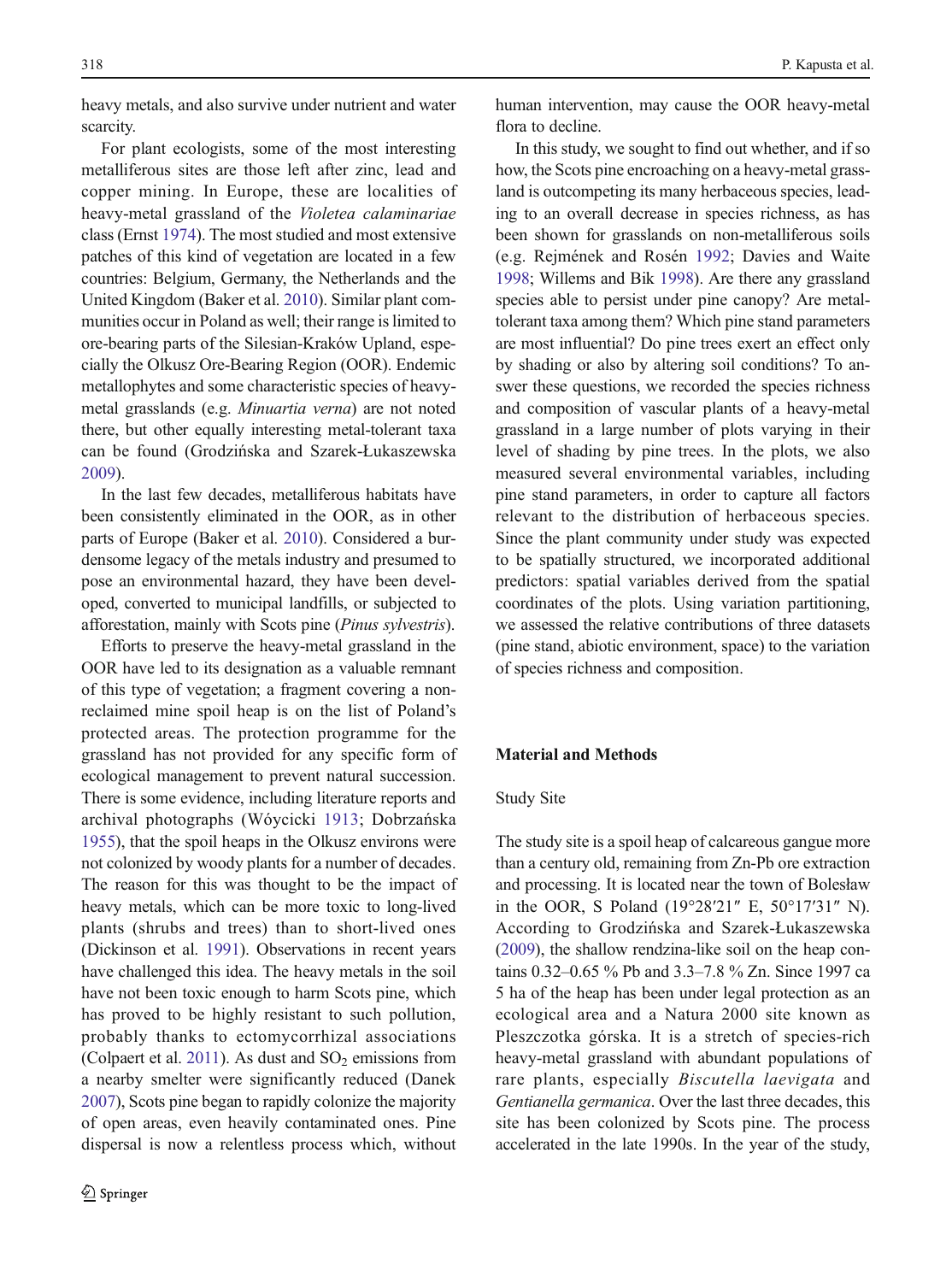heavy metals, and also survive under nutrient and water scarcity.

For plant ecologists, some of the most interesting metalliferous sites are those left after zinc, lead and copper mining. In Europe, these are localities of heavy-metal grassland of the Violetea calaminariae class (Ernst [1974\)](#page-12-0). The most studied and most extensive patches of this kind of vegetation are located in a few countries: Belgium, Germany, the Netherlands and the United Kingdom (Baker et al. [2010\)](#page-12-0). Similar plant communities occur in Poland as well; their range is limited to ore-bearing parts of the Silesian-Kraków Upland, especially the Olkusz Ore-Bearing Region (OOR). Endemic metallophytes and some characteristic species of heavymetal grasslands (e.g. Minuartia verna) are not noted there, but other equally interesting metal-tolerant taxa can be found (Grodzińska and Szarek-Łukaszewska [2009](#page-12-0)).

In the last few decades, metalliferous habitats have been consistently eliminated in the OOR, as in other parts of Europe (Baker et al. [2010\)](#page-12-0). Considered a burdensome legacy of the metals industry and presumed to pose an environmental hazard, they have been developed, converted to municipal landfills, or subjected to afforestation, mainly with Scots pine (Pinus sylvestris).

Efforts to preserve the heavy-metal grassland in the OOR have led to its designation as a valuable remnant of this type of vegetation; a fragment covering a nonreclaimed mine spoil heap is on the list of Poland's protected areas. The protection programme for the grassland has not provided for any specific form of ecological management to prevent natural succession. There is some evidence, including literature reports and archival photographs (Wóycicki [1913;](#page-13-0) Dobrzańska [1955](#page-12-0)), that the spoil heaps in the Olkusz environs were not colonized by woody plants for a number of decades. The reason for this was thought to be the impact of heavy metals, which can be more toxic to long-lived plants (shrubs and trees) than to short-lived ones (Dickinson et al. [1991\)](#page-12-0). Observations in recent years have challenged this idea. The heavy metals in the soil have not been toxic enough to harm Scots pine, which has proved to be highly resistant to such pollution, probably thanks to ectomycorrhizal associations (Colpaert et al. [2011\)](#page-12-0). As dust and  $SO<sub>2</sub>$  emissions from a nearby smelter were significantly reduced (Danek [2007](#page-12-0)), Scots pine began to rapidly colonize the majority of open areas, even heavily contaminated ones. Pine dispersal is now a relentless process which, without

human intervention, may cause the OOR heavy-metal flora to decline.

In this study, we sought to find out whether, and if so how, the Scots pine encroaching on a heavy-metal grassland is outcompeting its many herbaceous species, leading to an overall decrease in species richness, as has been shown for grasslands on non-metalliferous soils (e.g. Rejmének and Rosén [1992;](#page-13-0) Davies and Waite [1998](#page-12-0); Willems and Bik [1998\)](#page-13-0). Are there any grassland species able to persist under pine canopy? Are metaltolerant taxa among them? Which pine stand parameters are most influential? Do pine trees exert an effect only by shading or also by altering soil conditions? To answer these questions, we recorded the species richness and composition of vascular plants of a heavy-metal grassland in a large number of plots varying in their level of shading by pine trees. In the plots, we also measured several environmental variables, including pine stand parameters, in order to capture all factors relevant to the distribution of herbaceous species. Since the plant community under study was expected to be spatially structured, we incorporated additional predictors: spatial variables derived from the spatial coordinates of the plots. Using variation partitioning, we assessed the relative contributions of three datasets (pine stand, abiotic environment, space) to the variation of species richness and composition.

# Material and Methods

#### Study Site

The study site is a spoil heap of calcareous gangue more than a century old, remaining from Zn-Pb ore extraction and processing. It is located near the town of Bolesław in the OOR, S Poland (19°28′21″ E, 50°17′31″ N). According to Grodzińska and Szarek-Łukaszewska [\(2009\)](#page-12-0), the shallow rendzina-like soil on the heap contains 0.32–0.65 % Pb and 3.3–7.8 % Zn. Since 1997 ca 5 ha of the heap has been under legal protection as an ecological area and a Natura 2000 site known as Pleszczotka górska. It is a stretch of species-rich heavy-metal grassland with abundant populations of rare plants, especially Biscutella laevigata and Gentianella germanica. Over the last three decades, this site has been colonized by Scots pine. The process accelerated in the late 1990s. In the year of the study,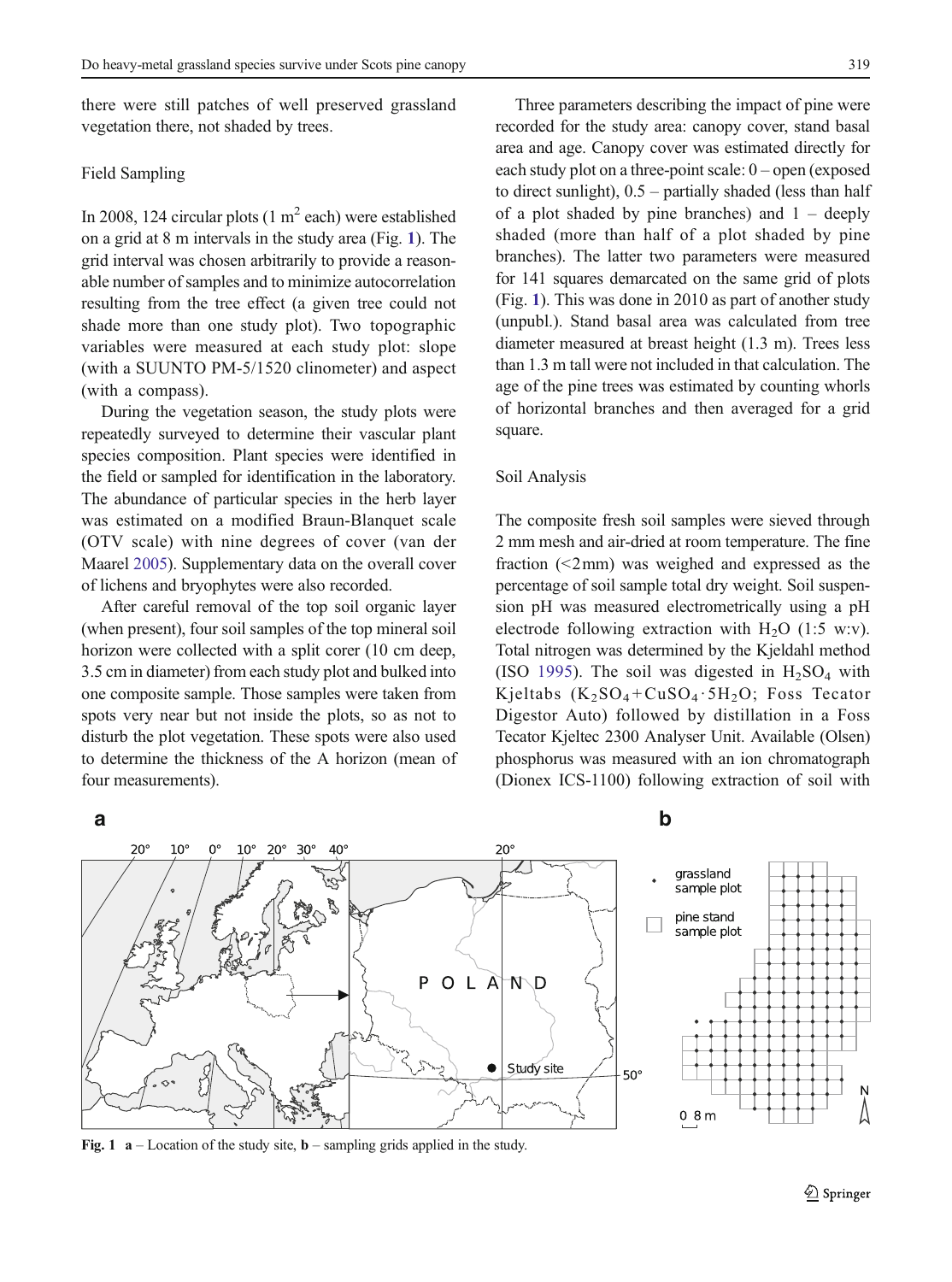there were still patches of well preserved grassland vegetation there, not shaded by trees.

# Field Sampling

In 2008, 124 circular plots  $(1 \text{ m}^2 \text{ each})$  were established on a grid at 8 m intervals in the study area (Fig. 1). The grid interval was chosen arbitrarily to provide a reasonable number of samples and to minimize autocorrelation resulting from the tree effect (a given tree could not shade more than one study plot). Two topographic variables were measured at each study plot: slope (with a SUUNTO PM-5/1520 clinometer) and aspect (with a compass).

During the vegetation season, the study plots were repeatedly surveyed to determine their vascular plant species composition. Plant species were identified in the field or sampled for identification in the laboratory. The abundance of particular species in the herb layer was estimated on a modified Braun-Blanquet scale (OTV scale) with nine degrees of cover (van der Maarel [2005](#page-13-0)). Supplementary data on the overall cover of lichens and bryophytes were also recorded.

After careful removal of the top soil organic layer (when present), four soil samples of the top mineral soil horizon were collected with a split corer (10 cm deep, 3.5 cm in diameter) from each study plot and bulked into one composite sample. Those samples were taken from spots very near but not inside the plots, so as not to disturb the plot vegetation. These spots were also used to determine the thickness of the A horizon (mean of four measurements).

Three parameters describing the impact of pine were recorded for the study area: canopy cover, stand basal area and age. Canopy cover was estimated directly for each study plot on a three-point scale: 0 – open (exposed to direct sunlight), 0.5 – partially shaded (less than half of a plot shaded by pine branches) and  $1 - \text{deeply}$ shaded (more than half of a plot shaded by pine branches). The latter two parameters were measured for 141 squares demarcated on the same grid of plots (Fig. 1). This was done in 2010 as part of another study (unpubl.). Stand basal area was calculated from tree diameter measured at breast height (1.3 m). Trees less than 1.3 m tall were not included in that calculation. The age of the pine trees was estimated by counting whorls of horizontal branches and then averaged for a grid square.

#### Soil Analysis

The composite fresh soil samples were sieved through 2 mm mesh and air-dried at room temperature. The fine fraction (<2mm) was weighed and expressed as the percentage of soil sample total dry weight. Soil suspension pH was measured electrometrically using a pH electrode following extraction with  $H_2O$  (1:5 w:v). Total nitrogen was determined by the Kjeldahl method (ISO [1995](#page-13-0)). The soil was digested in  $H_2SO_4$  with Kjeltabs  $(K_2SO_4 + CuSO_4 \cdot 5H_2O)$ ; Foss Tecator Digestor Auto) followed by distillation in a Foss Tecator Kjeltec 2300 Analyser Unit. Available (Olsen) phosphorus was measured with an ion chromatograph (Dionex ICS-1100) following extraction of soil with





Fig. 1  $a$  – Location of the study site, **b** – sampling grids applied in the study.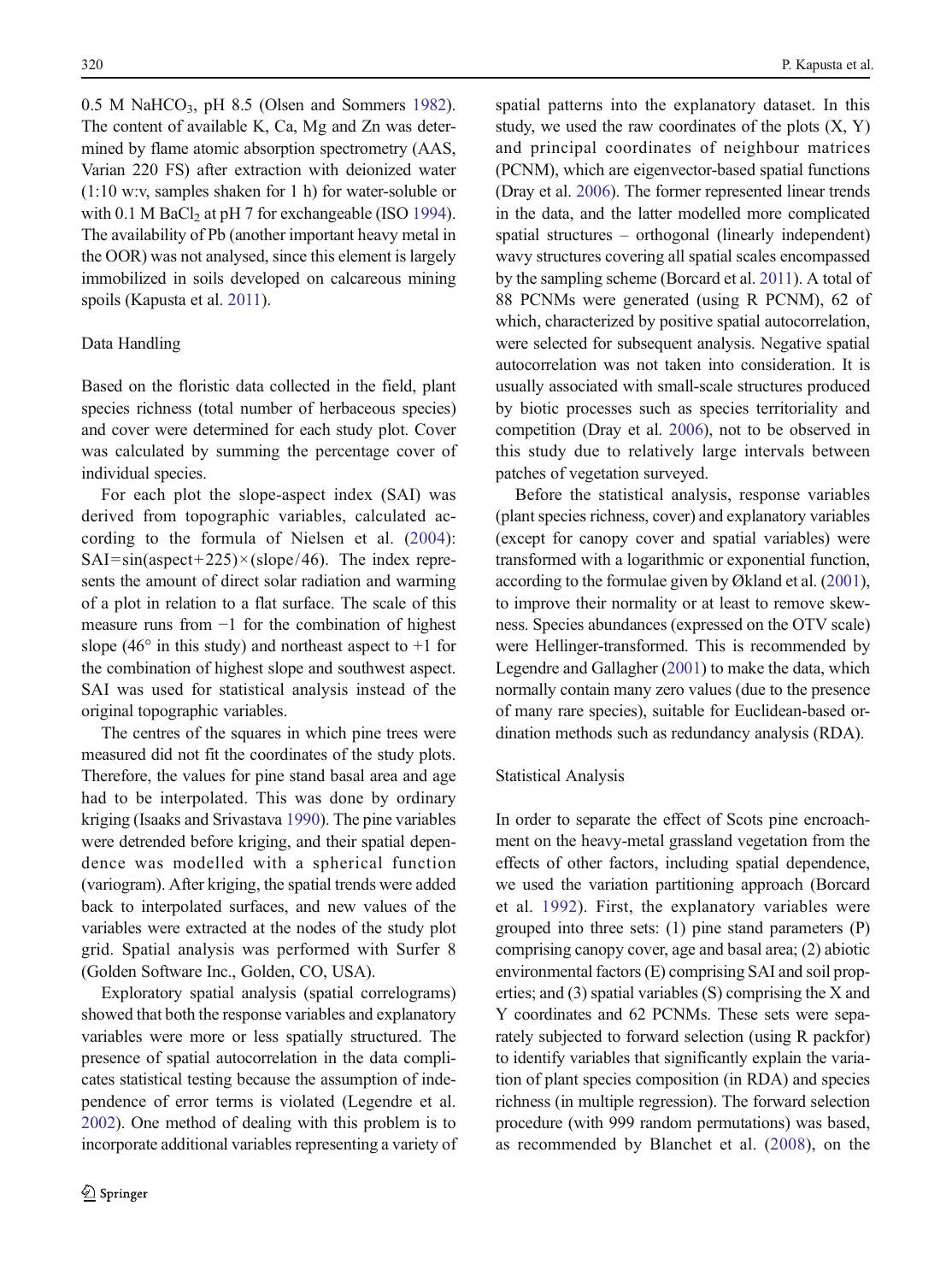$0.5$  M NaHCO<sub>3</sub>, pH 8.5 (Olsen and Sommers [1982\)](#page-13-0). The content of available K, Ca, Mg and Zn was determined by flame atomic absorption spectrometry (AAS, Varian 220 FS) after extraction with deionized water (1:10 w:v, samples shaken for 1 h) for water-soluble or with 0.1 M BaCl<sub>2</sub> at pH 7 for exchangeable (ISO [1994\)](#page-13-0). The availability of Pb (another important heavy metal in the OOR) was not analysed, since this element is largely immobilized in soils developed on calcareous mining spoils (Kapusta et al. [2011](#page-13-0)).

# Data Handling

Based on the floristic data collected in the field, plant species richness (total number of herbaceous species) and cover were determined for each study plot. Cover was calculated by summing the percentage cover of individual species.

For each plot the slope-aspect index (SAI) was derived from topographic variables, calculated according to the formula of Nielsen et al. ([2004](#page-13-0)):  $SAI=sin(aspect+225)\times(slope/46)$ . The index represents the amount of direct solar radiation and warming of a plot in relation to a flat surface. The scale of this measure runs from −1 for the combination of highest slope (46 $\degree$  in this study) and northeast aspect to +1 for the combination of highest slope and southwest aspect. SAI was used for statistical analysis instead of the original topographic variables.

The centres of the squares in which pine trees were measured did not fit the coordinates of the study plots. Therefore, the values for pine stand basal area and age had to be interpolated. This was done by ordinary kriging (Isaaks and Srivastava [1990\)](#page-13-0). The pine variables were detrended before kriging, and their spatial dependence was modelled with a spherical function (variogram). After kriging, the spatial trends were added back to interpolated surfaces, and new values of the variables were extracted at the nodes of the study plot grid. Spatial analysis was performed with Surfer 8 (Golden Software Inc., Golden, CO, USA).

Exploratory spatial analysis (spatial correlograms) showed that both the response variables and explanatory variables were more or less spatially structured. The presence of spatial autocorrelation in the data complicates statistical testing because the assumption of independence of error terms is violated (Legendre et al. [2002](#page-13-0)). One method of dealing with this problem is to incorporate additional variables representing a variety of spatial patterns into the explanatory dataset. In this study, we used the raw coordinates of the plots  $(X, Y)$ and principal coordinates of neighbour matrices (PCNM), which are eigenvector-based spatial functions (Dray et al. [2006\)](#page-12-0). The former represented linear trends in the data, and the latter modelled more complicated spatial structures – orthogonal (linearly independent) wavy structures covering all spatial scales encompassed by the sampling scheme (Borcard et al. [2011](#page-12-0)). A total of 88 PCNMs were generated (using R PCNM), 62 of which, characterized by positive spatial autocorrelation, were selected for subsequent analysis. Negative spatial autocorrelation was not taken into consideration. It is usually associated with small-scale structures produced by biotic processes such as species territoriality and competition (Dray et al. [2006](#page-12-0)), not to be observed in this study due to relatively large intervals between patches of vegetation surveyed.

Before the statistical analysis, response variables (plant species richness, cover) and explanatory variables (except for canopy cover and spatial variables) were transformed with a logarithmic or exponential function, according to the formulae given by Økland et al. [\(2001\)](#page-13-0), to improve their normality or at least to remove skewness. Species abundances (expressed on the OTV scale) were Hellinger-transformed. This is recommended by Legendre and Gallagher ([2001](#page-13-0)) to make the data, which normally contain many zero values (due to the presence of many rare species), suitable for Euclidean-based ordination methods such as redundancy analysis (RDA).

### Statistical Analysis

In order to separate the effect of Scots pine encroachment on the heavy-metal grassland vegetation from the effects of other factors, including spatial dependence, we used the variation partitioning approach (Borcard et al. [1992](#page-12-0)). First, the explanatory variables were grouped into three sets: (1) pine stand parameters (P) comprising canopy cover, age and basal area; (2) abiotic environmental factors (E) comprising SAI and soil properties; and (3) spatial variables (S) comprising the X and Y coordinates and 62 PCNMs. These sets were separately subjected to forward selection (using R packfor) to identify variables that significantly explain the variation of plant species composition (in RDA) and species richness (in multiple regression). The forward selection procedure (with 999 random permutations) was based, as recommended by Blanchet et al. ([2008](#page-12-0)), on the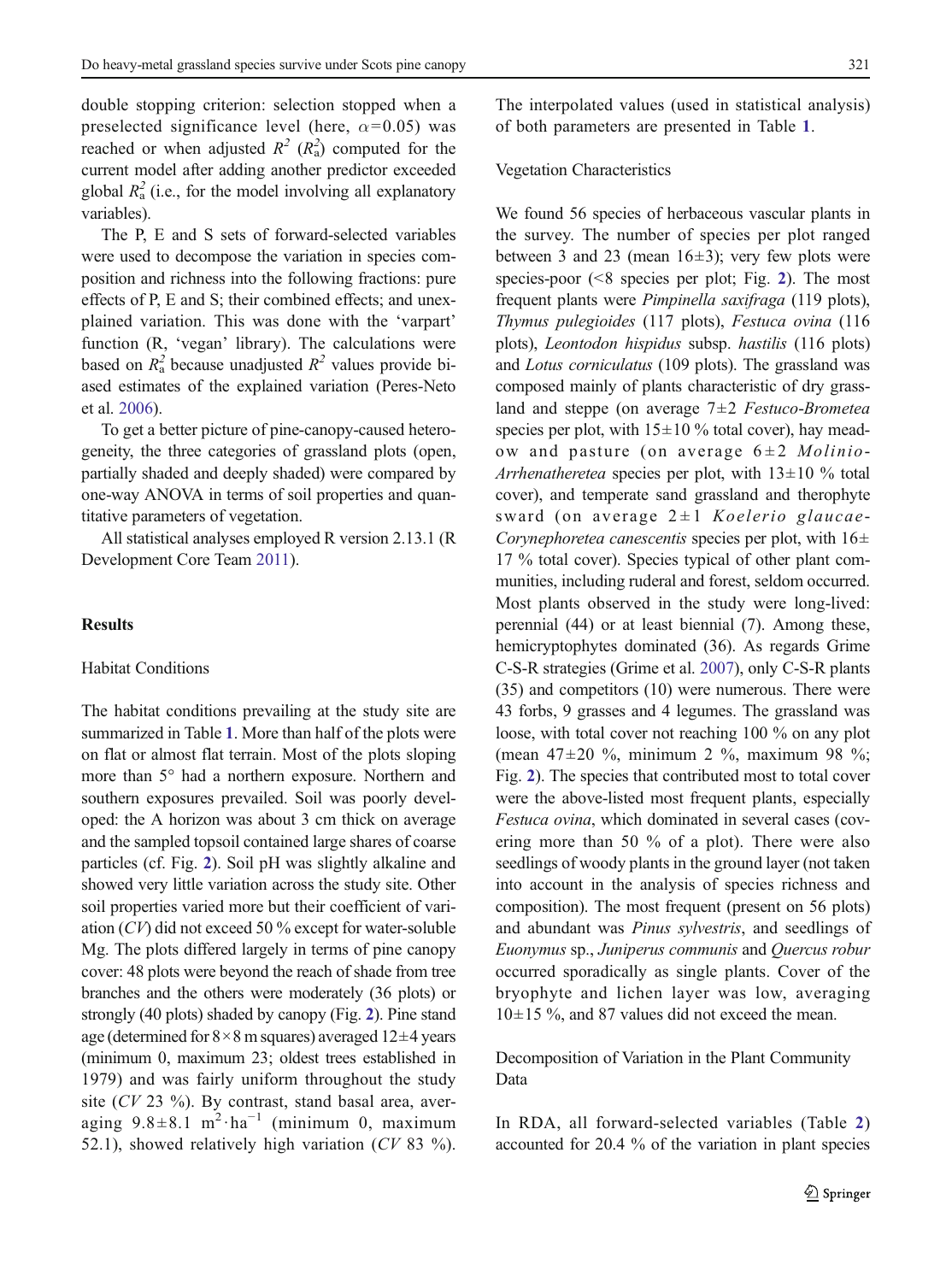double stopping criterion: selection stopped when a preselected significance level (here,  $\alpha$ =0.05) was reached or when adjusted  $R^2$  ( $R_a^2$ ) computed for the current model after adding another predictor exceeded global  $R_a^2$  (i.e., for the model involving all explanatory variables).

The P, E and S sets of forward-selected variables were used to decompose the variation in species composition and richness into the following fractions: pure effects of P, E and S; their combined effects; and unexplained variation. This was done with the 'varpart' function (R, 'vegan' library). The calculations were based on  $R_a^2$  because unadjusted  $R^2$  values provide biased estimates of the explained variation (Peres-Neto et al. [2006\)](#page-13-0).

To get a better picture of pine-canopy-caused heterogeneity, the three categories of grassland plots (open, partially shaded and deeply shaded) were compared by one-way ANOVA in terms of soil properties and quantitative parameters of vegetation.

All statistical analyses employed R version 2.13.1 (R Development Core Team [2011\)](#page-13-0).

# **Results**

# Habitat Conditions

The habitat conditions prevailing at the study site are summarized in Table [1](#page-6-0). More than half of the plots were on flat or almost flat terrain. Most of the plots sloping more than 5° had a northern exposure. Northern and southern exposures prevailed. Soil was poorly developed: the A horizon was about 3 cm thick on average and the sampled topsoil contained large shares of coarse particles (cf. Fig. [2](#page-7-0)). Soil pH was slightly alkaline and showed very little variation across the study site. Other soil properties varied more but their coefficient of variation (CV) did not exceed 50 % except for water-soluble Mg. The plots differed largely in terms of pine canopy cover: 48 plots were beyond the reach of shade from tree branches and the others were moderately (36 plots) or strongly (40 plots) shaded by canopy (Fig. [2](#page-7-0)). Pine stand age (determined for  $8 \times 8$  m squares) averaged  $12 \pm 4$  years (minimum 0, maximum 23; oldest trees established in 1979) and was fairly uniform throughout the study site ( $CV$  23 %). By contrast, stand basal area, averaging  $9.8 \pm 8.1$  m<sup>2</sup>·ha<sup>-1</sup> (minimum 0, maximum 52.1), showed relatively high variation  $(CV 83 %)$ .

The interpolated values (used in statistical analysis) of both parameters are presented in Table [1](#page-6-0).

#### Vegetation Characteristics

We found 56 species of herbaceous vascular plants in the survey. The number of species per plot ranged between 3 and 23 (mean  $16±3$ ); very few plots were species-poor  $($ <8 species per plot; Fig. [2](#page-7-0)). The most frequent plants were Pimpinella saxifraga (119 plots), Thymus pulegioides (117 plots), Festuca ovina (116 plots), Leontodon hispidus subsp. hastilis (116 plots) and Lotus corniculatus (109 plots). The grassland was composed mainly of plants characteristic of dry grassland and steppe (on average  $7\pm2$  Festuco-Brometea species per plot, with  $15\pm10\%$  total cover), hay meadow and pasture (on average  $6\pm2$  *Molinio*-Arrhenatheretea species per plot, with  $13\pm10$  % total cover), and temperate sand grassland and therophyte sward (on average  $2 \pm 1$  Koelerio glaucae-Corynephoretea canescentis species per plot, with  $16\pm$ 17 % total cover). Species typical of other plant communities, including ruderal and forest, seldom occurred. Most plants observed in the study were long-lived: perennial (44) or at least biennial (7). Among these, hemicryptophytes dominated (36). As regards Grime C-S-R strategies (Grime et al. [2007](#page-12-0)), only C-S-R plants (35) and competitors (10) were numerous. There were 43 forbs, 9 grasses and 4 legumes. The grassland was loose, with total cover not reaching 100 % on any plot (mean 47±20 %, minimum 2 %, maximum 98 %; Fig. [2](#page-7-0)). The species that contributed most to total cover were the above-listed most frequent plants, especially Festuca ovina, which dominated in several cases (covering more than 50 % of a plot). There were also seedlings of woody plants in the ground layer (not taken into account in the analysis of species richness and composition). The most frequent (present on 56 plots) and abundant was Pinus sylvestris, and seedlings of Euonymus sp., Juniperus communis and Quercus robur occurred sporadically as single plants. Cover of the bryophyte and lichen layer was low, averaging  $10\pm15$  %, and 87 values did not exceed the mean.

Decomposition of Variation in the Plant Community Data

In RDA, all forward-selected variables (Table [2](#page-8-0)) accounted for 20.4 % of the variation in plant species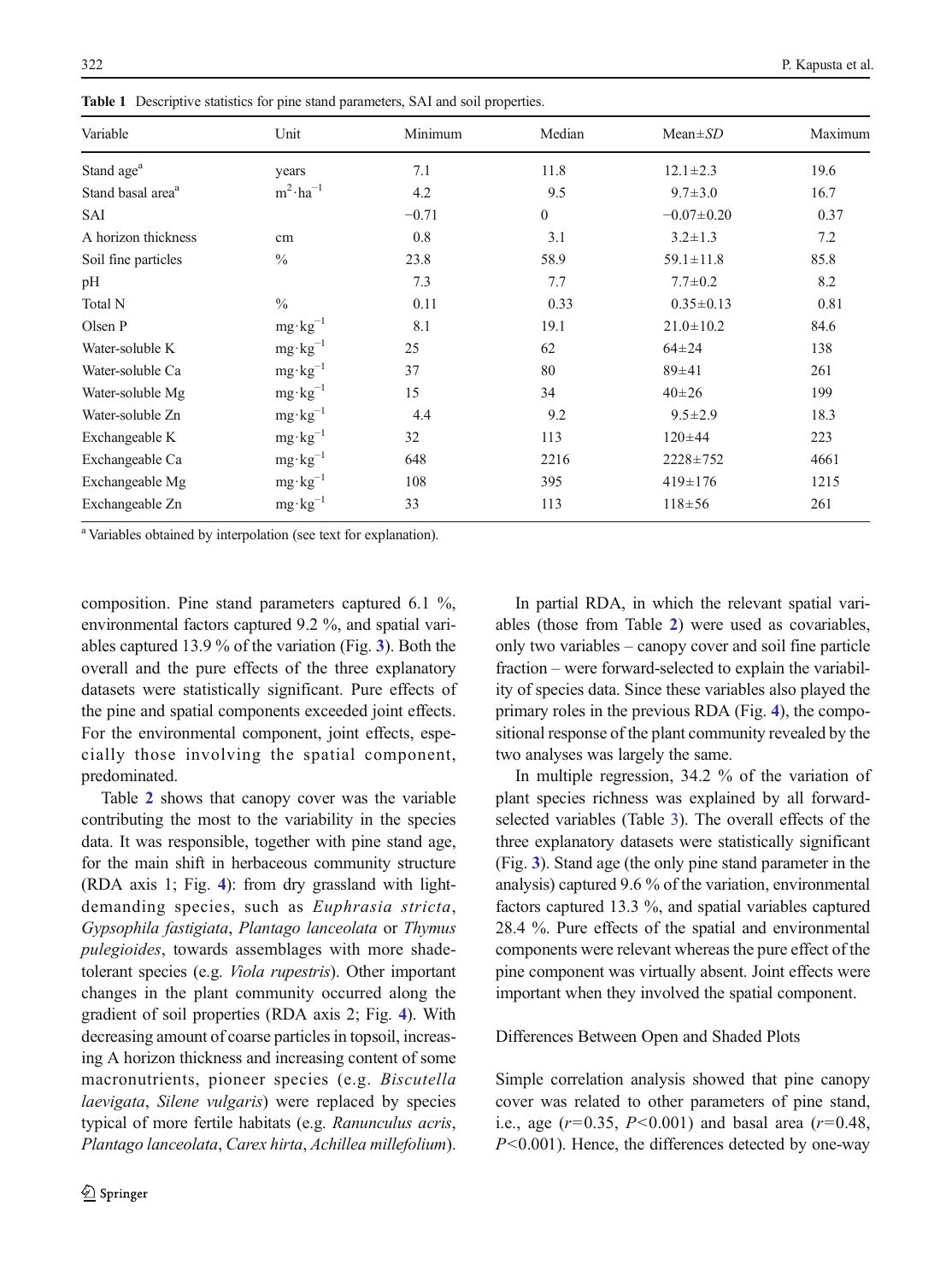| Variable                      | Unit                | Minimum | Median       | $Mean \pm SD$    | Maximum |
|-------------------------------|---------------------|---------|--------------|------------------|---------|
| Stand age <sup>a</sup>        | years               | 7.1     | 11.8         | $12.1 \pm 2.3$   | 19.6    |
| Stand basal area <sup>a</sup> | $m^2 \cdot ha^{-1}$ | 4.2     | 9.5          | $9.7 \pm 3.0$    | 16.7    |
| SAI                           |                     | $-0.71$ | $\mathbf{0}$ | $-0.07 \pm 0.20$ | 0.37    |
| A horizon thickness           | cm                  | 0.8     | 3.1          | $3.2 \pm 1.3$    | 7.2     |
| Soil fine particles           | $\frac{0}{0}$       | 23.8    | 58.9         | $59.1 \pm 11.8$  | 85.8    |
| pH                            |                     | 7.3     | 7.7          | $7.7 \pm 0.2$    | 8.2     |
| Total N                       | $\frac{0}{0}$       | 0.11    | 0.33         | $0.35 \pm 0.13$  | 0.81    |
| Olsen P                       | $mg \cdot kg^{-1}$  | 8.1     | 19.1         | $21.0 \pm 10.2$  | 84.6    |
| Water-soluble K               | $mg \cdot kg^{-1}$  | 25      | 62           | $64 \pm 24$      | 138     |
| Water-soluble Ca              | $mg \cdot kg^{-1}$  | 37      | 80           | 89±41            | 261     |
| Water-soluble Mg              | $mg \cdot kg^{-1}$  | 15      | 34           | $40\pm 26$       | 199     |
| Water-soluble Zn              | $mg \cdot kg^{-1}$  | 4.4     | 9.2          | $9.5 \pm 2.9$    | 18.3    |
| Exchangeable K                | $mg \cdot kg^{-1}$  | 32      | 113          | $120 \pm 44$     | 223     |
| Exchangeable Ca               | $mg \cdot kg^{-1}$  | 648     | 2216         | 2228±752         | 4661    |
| Exchangeable Mg               | $mg \cdot kg^{-1}$  | 108     | 395          | $419 \pm 176$    | 1215    |
| Exchangeable Zn               | $mg \cdot kg^{-1}$  | 33      | 113          | $118 + 56$       | 261     |

<span id="page-6-0"></span>Table 1 Descriptive statistics for pine stand parameters, SAI and soil properties.

<sup>a</sup> Variables obtained by interpolation (see text for explanation).

composition. Pine stand parameters captured 6.1 %, environmental factors captured 9.2 %, and spatial variables captured 13.9 % of the variation (Fig. [3](#page-8-0)). Both the overall and the pure effects of the three explanatory datasets were statistically significant. Pure effects of the pine and spatial components exceeded joint effects. For the environmental component, joint effects, especially those involving the spatial component, predominated.

Table [2](#page-8-0) shows that canopy cover was the variable contributing the most to the variability in the species data. It was responsible, together with pine stand age, for the main shift in herbaceous community structure (RDA axis 1; Fig. [4](#page-9-0)): from dry grassland with lightdemanding species, such as Euphrasia stricta, Gypsophila fastigiata, Plantago lanceolata or Thymus pulegioides, towards assemblages with more shadetolerant species (e.g. Viola rupestris). Other important changes in the plant community occurred along the gradient of soil properties (RDA axis 2; Fig. [4](#page-9-0)). With decreasing amount of coarse particles in topsoil, increasing A horizon thickness and increasing content of some macronutrients, pioneer species (e.g. Biscutella laevigata, Silene vulgaris) were replaced by species typical of more fertile habitats (e.g. Ranunculus acris, Plantago lanceolata, Carex hirta, Achillea millefolium).

In partial RDA, in which the relevant spatial variables (those from Table [2](#page-8-0)) were used as covariables, only two variables – canopy cover and soil fine particle fraction – were forward-selected to explain the variability of species data. Since these variables also played the primary roles in the previous RDA (Fig. [4](#page-9-0)), the compositional response of the plant community revealed by the two analyses was largely the same.

In multiple regression, 34.2 % of the variation of plant species richness was explained by all forwardselected variables (Table [3](#page-10-0)). The overall effects of the three explanatory datasets were statistically significant (Fig. [3](#page-8-0)). Stand age (the only pine stand parameter in the analysis) captured 9.6 % of the variation, environmental factors captured 13.3 %, and spatial variables captured 28.4 %. Pure effects of the spatial and environmental components were relevant whereas the pure effect of the pine component was virtually absent. Joint effects were important when they involved the spatial component.

# Differences Between Open and Shaded Plots

Simple correlation analysis showed that pine canopy cover was related to other parameters of pine stand, i.e., age  $(r=0.35, P<0.001)$  and basal area  $(r=0.48, P<0.001)$  $P<0.001$ ). Hence, the differences detected by one-way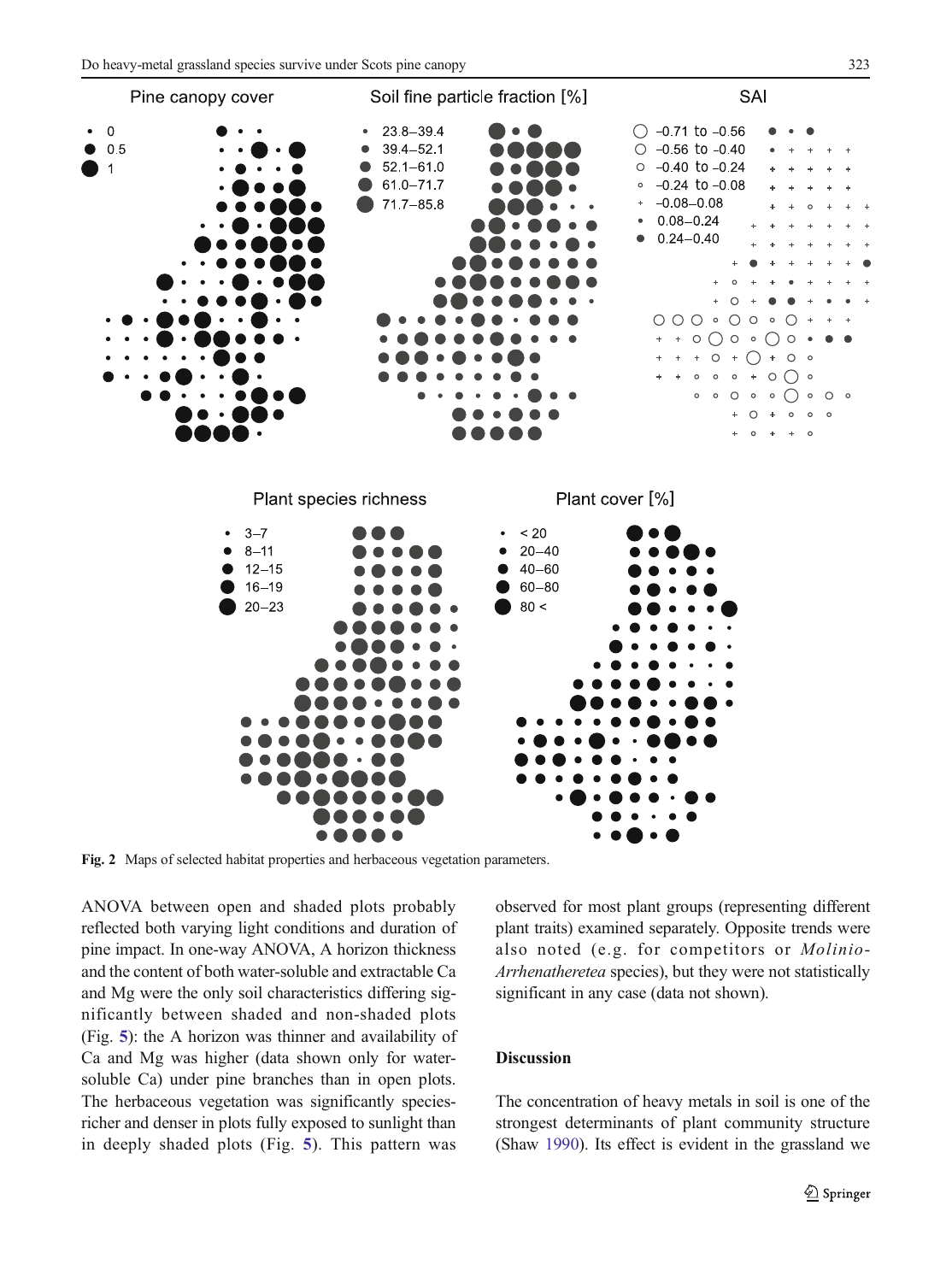<span id="page-7-0"></span>

Fig. 2 Maps of selected habitat properties and herbaceous vegetation parameters.

ANOVA between open and shaded plots probably reflected both varying light conditions and duration of pine impact. In one-way ANOVA, A horizon thickness and the content of both water-soluble and extractable Ca and Mg were the only soil characteristics differing significantly between shaded and non-shaded plots (Fig. [5](#page-10-0)): the A horizon was thinner and availability of Ca and Mg was higher (data shown only for watersoluble Ca) under pine branches than in open plots. The herbaceous vegetation was significantly speciesricher and denser in plots fully exposed to sunlight than in deeply shaded plots (Fig. [5](#page-10-0)). This pattern was

observed for most plant groups (representing different plant traits) examined separately. Opposite trends were also noted (e.g. for competitors or Molinio-Arrhenatheretea species), but they were not statistically significant in any case (data not shown).

# Discussion

The concentration of heavy metals in soil is one of the strongest determinants of plant community structure (Shaw [1990\)](#page-13-0). Its effect is evident in the grassland we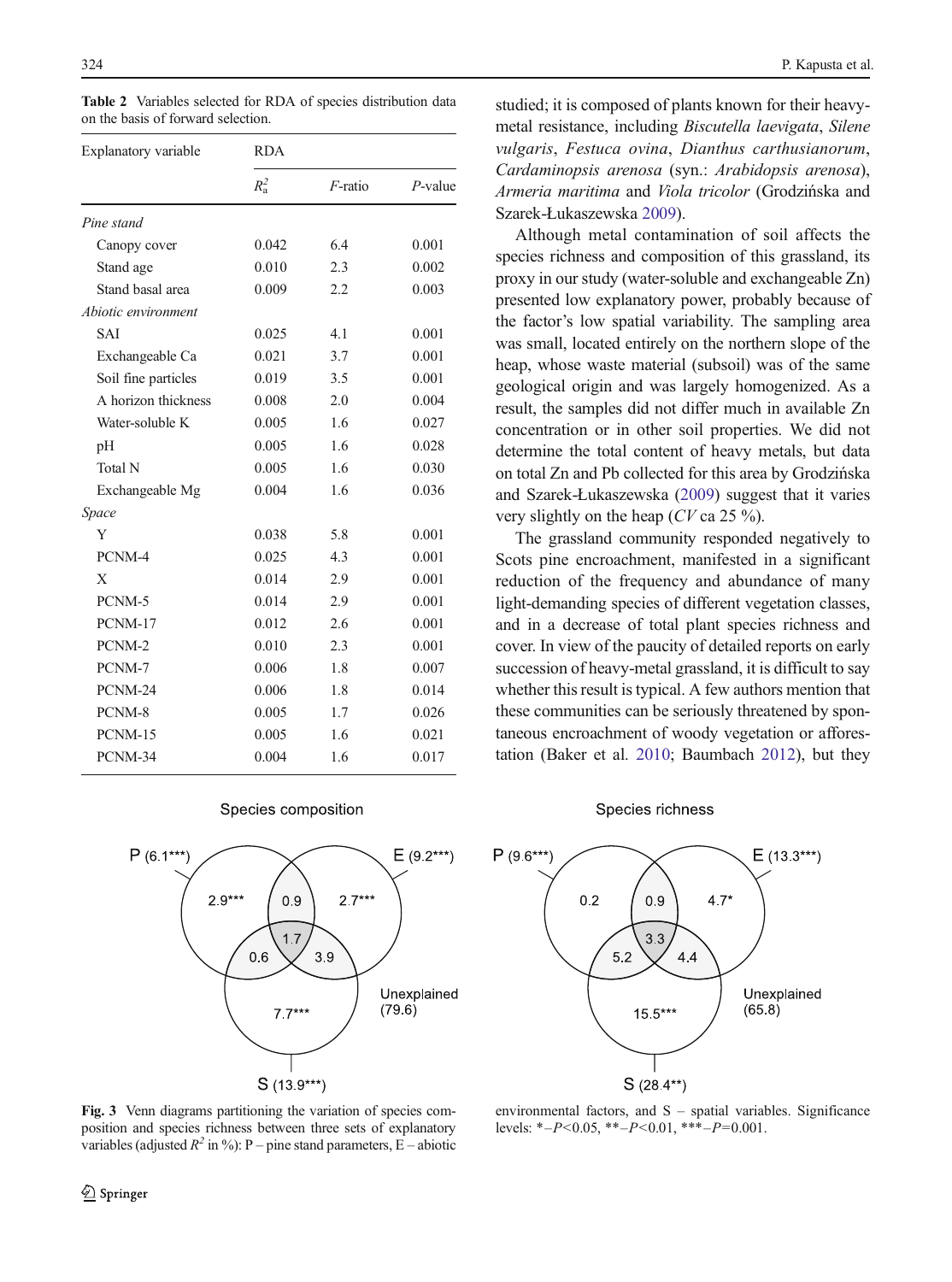| Explanatory variable | <b>RDA</b>    |            |            |  |
|----------------------|---------------|------------|------------|--|
|                      | $R_{\rm a}^2$ | $F$ -ratio | $P$ -value |  |
| Pine stand           |               |            |            |  |
| Canopy cover         | 0.042         | 6.4        | 0.001      |  |
| Stand age            | 0.010         | 2.3        | 0.002      |  |
| Stand basal area     | 0.009         | 2.2        | 0.003      |  |
| Abiotic environment  |               |            |            |  |
| <b>SAI</b>           | 0.025         | 4.1        | 0.001      |  |
| Exchangeable Ca      | 0.021         | 3.7        | 0.001      |  |
| Soil fine particles  | 0.019         | 3.5        | 0.001      |  |
| A horizon thickness  | 0.008         | 2.0        | 0.004      |  |
| Water-soluble K      | 0.005         | 1.6        | 0.027      |  |
| pH                   | 0.005         | 1.6        | 0.028      |  |
| Total N              | 0.005         | 1.6        | 0.030      |  |
| Exchangeable Mg      | 0.004         | 1.6        | 0.036      |  |
| Space                |               |            |            |  |
| Y                    | 0.038         | 5.8        | 0.001      |  |
| PCNM-4               | 0.025         | 4.3        | 0.001      |  |
| X                    | 0.014         | 2.9        | 0.001      |  |
| PCNM-5               | 0.014         | 2.9        | 0.001      |  |
| PCNM-17              | 0.012         | 2.6        | 0.001      |  |
| PCNM-2               | 0.010         | 2.3        | 0.001      |  |
| PCNM-7               | 0.006         | 1.8        | 0.007      |  |
| PCNM-24              | 0.006         | 1.8        | 0.014      |  |
| PCNM-8               | 0.005         | 1.7        | 0.026      |  |
| PCNM-15              | 0.005         | 1.6        | 0.021      |  |
| PCNM-34              | 0.004         | 1.6        | 0.017      |  |

<span id="page-8-0"></span>Table 2 Variables selected for RDA of species distribution data on the basis of forward selection.

#### Species composition



studied; it is composed of plants known for their heavymetal resistance, including Biscutella laevigata, Silene vulgaris, Festuca ovina, Dianthus carthusianorum, Cardaminopsis arenosa (syn.: Arabidopsis arenosa), Armeria maritima and Viola tricolor (Grodzińska and Szarek-Łukaszewska [2009\)](#page-12-0).

Although metal contamination of soil affects the species richness and composition of this grassland, its proxy in our study (water-soluble and exchangeable Zn) presented low explanatory power, probably because of the factor's low spatial variability. The sampling area was small, located entirely on the northern slope of the heap, whose waste material (subsoil) was of the same geological origin and was largely homogenized. As a result, the samples did not differ much in available Zn concentration or in other soil properties. We did not determine the total content of heavy metals, but data on total Zn and Pb collected for this area by Grodzińska and Szarek-Łukaszewska [\(2009\)](#page-12-0) suggest that it varies very slightly on the heap (CV ca 25 %).

The grassland community responded negatively to Scots pine encroachment, manifested in a significant reduction of the frequency and abundance of many light-demanding species of different vegetation classes, and in a decrease of total plant species richness and cover. In view of the paucity of detailed reports on early succession of heavy-metal grassland, it is difficult to say whether this result is typical. A few authors mention that these communities can be seriously threatened by spontaneous encroachment of woody vegetation or afforestation (Baker et al. [2010](#page-12-0); Baumbach [2012](#page-12-0)), but they

#### Species richness



Fig. 3 Venn diagrams partitioning the variation of species composition and species richness between three sets of explanatory variables (adjusted  $R^2$  in %): P – pine stand parameters, E – abiotic

environmental factors, and S – spatial variables. Significance levels: \*- $P$ <0.05, \*\*- $P$ <0.01, \*\*\*- $P$ =0.001.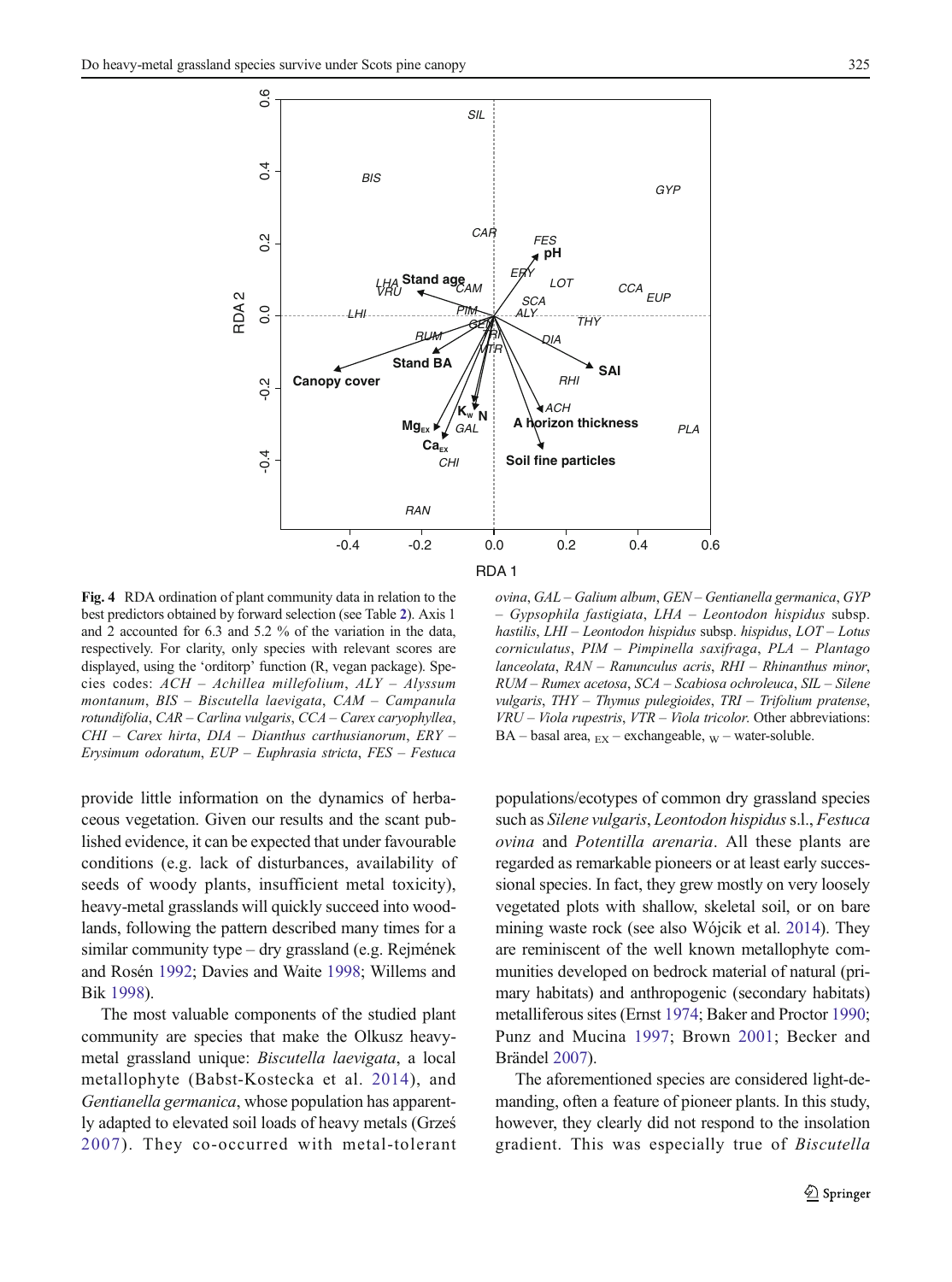<span id="page-9-0"></span>

Fig. 4 RDA ordination of plant community data in relation to the best predictors obtained by forward selection (see Table [2](#page-8-0)). Axis 1 and 2 accounted for 6.3 and 5.2 % of the variation in the data, respectively. For clarity, only species with relevant scores are displayed, using the 'orditorp' function (R, vegan package). Species codes: ACH – Achillea millefolium, ALY – Alyssum montanum, BIS – Biscutella laevigata, CAM – Campanula rotundifolia, CAR – Carlina vulgaris, CCA – Carex caryophyllea, CHI – Carex hirta, DIA – Dianthus carthusianorum, ERY – Erysimum odoratum, EUP – Euphrasia stricta, FES – Festuca

provide little information on the dynamics of herbaceous vegetation. Given our results and the scant published evidence, it can be expected that under favourable conditions (e.g. lack of disturbances, availability of seeds of woody plants, insufficient metal toxicity), heavy-metal grasslands will quickly succeed into woodlands, following the pattern described many times for a similar community type – dry grassland (e.g. Rejmének and Rosén [1992](#page-13-0); Davies and Waite [1998](#page-12-0); Willems and Bik [1998](#page-13-0)).

The most valuable components of the studied plant community are species that make the Olkusz heavymetal grassland unique: Biscutella laevigata, a local metallophyte (Babst-Kostecka et al. [2014\)](#page-12-0), and Gentianella germanica, whose population has apparently adapted to elevated soil loads of heavy metals (Grześ [2007\)](#page-12-0). They co-occurred with metal-tolerant

ovina, GAL – Galium album, GEN – Gentianella germanica, GYP – Gypsophila fastigiata, LHA – Leontodon hispidus subsp. hastilis, LHI – Leontodon hispidus subsp. hispidus, LOT – Lotus corniculatus, PIM – Pimpinella saxifraga, PLA – Plantago lanceolata, RAN – Ranunculus acris, RHI – Rhinanthus minor, RUM – Rumex acetosa, SCA – Scabiosa ochroleuca, SIL – Silene vulgaris, THY – Thymus pulegioides, TRI – Trifolium pratense, VRU – Viola rupestris, VTR – Viola tricolor. Other abbreviations:  $BA - basal$  area,  $_{EX} - exchangeable$ ,  $_{W} - water-soluble$ .

populations/ecotypes of common dry grassland species such as Silene vulgaris, Leontodon hispidus s.l., Festuca ovina and Potentilla arenaria. All these plants are regarded as remarkable pioneers or at least early successional species. In fact, they grew mostly on very loosely vegetated plots with shallow, skeletal soil, or on bare mining waste rock (see also Wójcik et al. [2014\)](#page-13-0). They are reminiscent of the well known metallophyte communities developed on bedrock material of natural (primary habitats) and anthropogenic (secondary habitats) metalliferous sites (Ernst [1974;](#page-12-0) Baker and Proctor [1990;](#page-12-0) Punz and Mucina [1997](#page-13-0); Brown [2001](#page-12-0); Becker and Brändel [2007\)](#page-12-0).

The aforementioned species are considered light-demanding, often a feature of pioneer plants. In this study, however, they clearly did not respond to the insolation gradient. This was especially true of Biscutella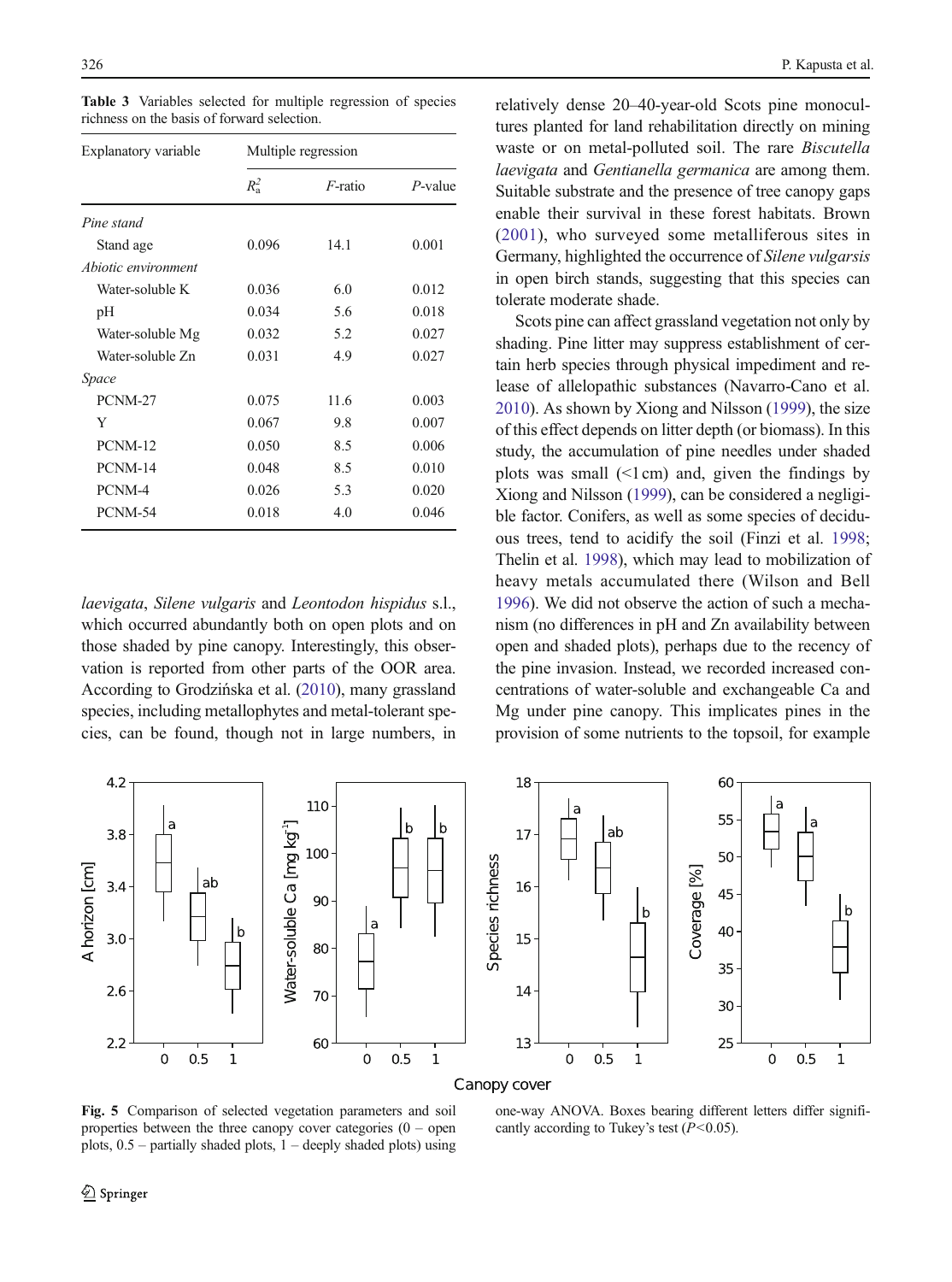| Explanatory variable | Multiple regression |            |            |  |
|----------------------|---------------------|------------|------------|--|
|                      | $R_a^2$             | $F$ -ratio | $P$ -value |  |
| Pine stand           |                     |            |            |  |
| Stand age            | 0.096               | 14.1       | 0.001      |  |
| Abiotic environment  |                     |            |            |  |
| Water-soluble K      | 0.036               | 6.0        | 0.012      |  |
| pH                   | 0.034               | 5.6        | 0.018      |  |
| Water-soluble Mg     | 0.032               | 5.2        | 0.027      |  |
| Water-soluble Zn     | 0.031               | 4.9        | 0.027      |  |
| Space                |                     |            |            |  |
| PCNM-27              | 0.075               | 11.6       | 0.003      |  |
| Y                    | 0.067               | 9.8        | 0.007      |  |
| PCNM-12              | 0.050               | 8.5        | 0.006      |  |
| PCNM-14              | 0.048               | 8.5        | 0.010      |  |
| PCNM-4               | 0.026               | 5.3        | 0.020      |  |
| PCNM-54              | 0.018               | 4.0        | 0.046      |  |

<span id="page-10-0"></span>Table 3 Variables selected for multiple regression of species richness on the basis of forward selection.

laevigata, Silene vulgaris and Leontodon hispidus s.l., which occurred abundantly both on open plots and on those shaded by pine canopy. Interestingly, this observation is reported from other parts of the OOR area. According to Grodzińska et al. [\(2010\)](#page-12-0), many grassland species, including metallophytes and metal-tolerant species, can be found, though not in large numbers, in



relatively dense 20–40-year-old Scots pine monocultures planted for land rehabilitation directly on mining waste or on metal-polluted soil. The rare Biscutella laevigata and Gentianella germanica are among them. Suitable substrate and the presence of tree canopy gaps enable their survival in these forest habitats. Brown [\(2001](#page-12-0)), who surveyed some metalliferous sites in Germany, highlighted the occurrence of Silene vulgarsis in open birch stands, suggesting that this species can tolerate moderate shade.

Scots pine can affect grassland vegetation not only by shading. Pine litter may suppress establishment of certain herb species through physical impediment and release of allelopathic substances (Navarro-Cano et al. [2010](#page-13-0)). As shown by Xiong and Nilsson ([1999](#page-13-0)), the size of this effect depends on litter depth (or biomass). In this study, the accumulation of pine needles under shaded plots was small  $(1cm)$  and, given the findings by Xiong and Nilsson ([1999](#page-13-0)), can be considered a negligible factor. Conifers, as well as some species of deciduous trees, tend to acidify the soil (Finzi et al. [1998;](#page-12-0) Thelin et al. [1998](#page-13-0)), which may lead to mobilization of heavy metals accumulated there (Wilson and Bell [1996](#page-13-0)). We did not observe the action of such a mechanism (no differences in pH and Zn availability between open and shaded plots), perhaps due to the recency of the pine invasion. Instead, we recorded increased concentrations of water-soluble and exchangeable Ca and Mg under pine canopy. This implicates pines in the provision of some nutrients to the topsoil, for example



Fig. 5 Comparison of selected vegetation parameters and soil properties between the three canopy cover categories  $(0 -$  open plots,  $0.5$  – partially shaded plots,  $1$  – deeply shaded plots) using

one-way ANOVA. Boxes bearing different letters differ significantly according to Tukey's test  $(P<0.05)$ .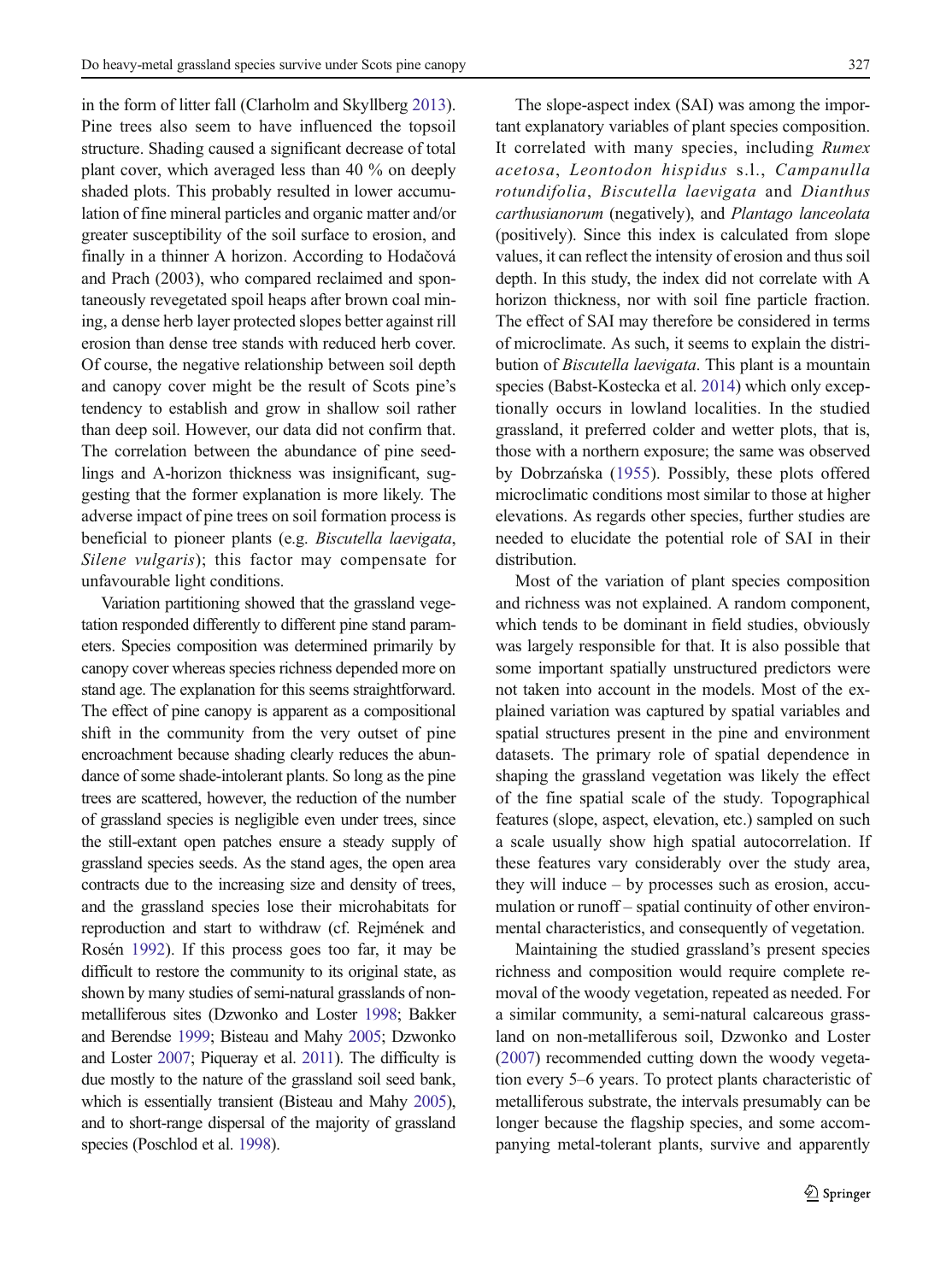in the form of litter fall (Clarholm and Skyllberg [2013\)](#page-12-0). Pine trees also seem to have influenced the topsoil structure. Shading caused a significant decrease of total plant cover, which averaged less than 40 % on deeply shaded plots. This probably resulted in lower accumulation of fine mineral particles and organic matter and/or greater susceptibility of the soil surface to erosion, and finally in a thinner A horizon. According to Hodačová and Prach (2003), who compared reclaimed and spontaneously revegetated spoil heaps after brown coal mining, a dense herb layer protected slopes better against rill erosion than dense tree stands with reduced herb cover. Of course, the negative relationship between soil depth and canopy cover might be the result of Scots pine's tendency to establish and grow in shallow soil rather than deep soil. However, our data did not confirm that. The correlation between the abundance of pine seedlings and A-horizon thickness was insignificant, suggesting that the former explanation is more likely. The adverse impact of pine trees on soil formation process is beneficial to pioneer plants (e.g. Biscutella laevigata, Silene vulgaris); this factor may compensate for unfavourable light conditions.

Variation partitioning showed that the grassland vegetation responded differently to different pine stand parameters. Species composition was determined primarily by canopy cover whereas species richness depended more on stand age. The explanation for this seems straightforward. The effect of pine canopy is apparent as a compositional shift in the community from the very outset of pine encroachment because shading clearly reduces the abundance of some shade-intolerant plants. So long as the pine trees are scattered, however, the reduction of the number of grassland species is negligible even under trees, since the still-extant open patches ensure a steady supply of grassland species seeds. As the stand ages, the open area contracts due to the increasing size and density of trees, and the grassland species lose their microhabitats for reproduction and start to withdraw (cf. Rejmének and Rosén [1992\)](#page-13-0). If this process goes too far, it may be difficult to restore the community to its original state, as shown by many studies of semi-natural grasslands of nonmetalliferous sites (Dzwonko and Loster [1998](#page-12-0); Bakker and Berendse [1999;](#page-12-0) Bisteau and Mahy [2005](#page-12-0); Dzwonko and Loster [2007;](#page-12-0) Piqueray et al. [2011](#page-13-0)). The difficulty is due mostly to the nature of the grassland soil seed bank, which is essentially transient (Bisteau and Mahy [2005\)](#page-12-0), and to short-range dispersal of the majority of grassland species (Poschlod et al. [1998\)](#page-13-0).

The slope-aspect index (SAI) was among the important explanatory variables of plant species composition. It correlated with many species, including Rumex acetosa, Leontodon hispidus s.l., Campanulla rotundifolia, Biscutella laevigata and Dianthus carthusianorum (negatively), and Plantago lanceolata (positively). Since this index is calculated from slope values, it can reflect the intensity of erosion and thus soil depth. In this study, the index did not correlate with A horizon thickness, nor with soil fine particle fraction. The effect of SAI may therefore be considered in terms of microclimate. As such, it seems to explain the distribution of Biscutella laevigata. This plant is a mountain species (Babst-Kostecka et al. [2014\)](#page-12-0) which only exceptionally occurs in lowland localities. In the studied grassland, it preferred colder and wetter plots, that is, those with a northern exposure; the same was observed by Dobrzańska [\(1955](#page-12-0)). Possibly, these plots offered microclimatic conditions most similar to those at higher elevations. As regards other species, further studies are needed to elucidate the potential role of SAI in their distribution.

Most of the variation of plant species composition and richness was not explained. A random component, which tends to be dominant in field studies, obviously was largely responsible for that. It is also possible that some important spatially unstructured predictors were not taken into account in the models. Most of the explained variation was captured by spatial variables and spatial structures present in the pine and environment datasets. The primary role of spatial dependence in shaping the grassland vegetation was likely the effect of the fine spatial scale of the study. Topographical features (slope, aspect, elevation, etc.) sampled on such a scale usually show high spatial autocorrelation. If these features vary considerably over the study area, they will induce – by processes such as erosion, accumulation or runoff – spatial continuity of other environmental characteristics, and consequently of vegetation.

Maintaining the studied grassland's present species richness and composition would require complete removal of the woody vegetation, repeated as needed. For a similar community, a semi-natural calcareous grassland on non-metalliferous soil, Dzwonko and Loster [\(2007\)](#page-12-0) recommended cutting down the woody vegetation every 5–6 years. To protect plants characteristic of metalliferous substrate, the intervals presumably can be longer because the flagship species, and some accompanying metal-tolerant plants, survive and apparently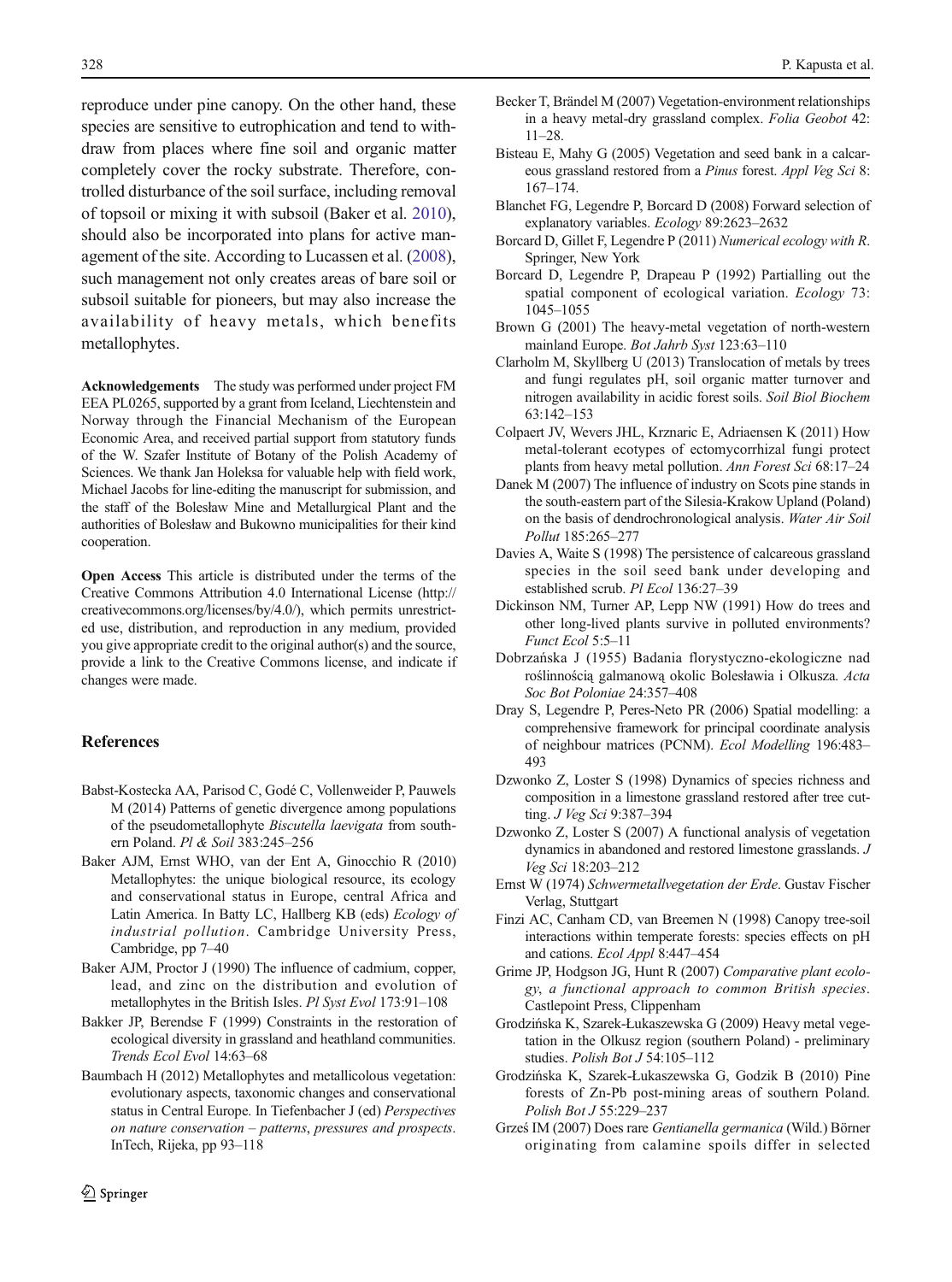<span id="page-12-0"></span>reproduce under pine canopy. On the other hand, these species are sensitive to eutrophication and tend to withdraw from places where fine soil and organic matter completely cover the rocky substrate. Therefore, controlled disturbance of the soil surface, including removal of topsoil or mixing it with subsoil (Baker et al. 2010), should also be incorporated into plans for active management of the site. According to Lucassen et al. [\(2008\)](#page-13-0), such management not only creates areas of bare soil or subsoil suitable for pioneers, but may also increase the availability of heavy metals, which benefits metallophytes.

Acknowledgements The study was performed under project FM EEA PL0265, supported by a grant from Iceland, Liechtenstein and Norway through the Financial Mechanism of the European Economic Area, and received partial support from statutory funds of the W. Szafer Institute of Botany of the Polish Academy of Sciences. We thank Jan Holeksa for valuable help with field work, Michael Jacobs for line-editing the manuscript for submission, and the staff of the Bolesław Mine and Metallurgical Plant and the authorities of Bolesław and Bukowno municipalities for their kind cooperation.

Open Access This article is distributed under the terms of the Creative Commons Attribution 4.0 International License (http:// creativecommons.org/licenses/by/4.0/), which permits unrestricted use, distribution, and reproduction in any medium, provided you give appropriate credit to the original author(s) and the source, provide a link to the Creative Commons license, and indicate if changes were made.

## References

- Babst-Kostecka AA, Parisod C, Godé C, Vollenweider P, Pauwels M (2014) Patterns of genetic divergence among populations of the pseudometallophyte Biscutella laevigata from southern Poland. Pl & Soil 383:245–256
- Baker AJM, Ernst WHO, van der Ent A, Ginocchio R (2010) Metallophytes: the unique biological resource, its ecology and conservational status in Europe, central Africa and Latin America. In Batty LC, Hallberg KB (eds) Ecology of industrial pollution. Cambridge University Press, Cambridge, pp 7–40
- Baker AJM, Proctor J (1990) The influence of cadmium, copper, lead, and zinc on the distribution and evolution of metallophytes in the British Isles. Pl Syst Evol 173:91–108
- Bakker JP, Berendse F (1999) Constraints in the restoration of ecological diversity in grassland and heathland communities. Trends Ecol Evol 14:63–68
- Baumbach H (2012) Metallophytes and metallicolous vegetation: evolutionary aspects, taxonomic changes and conservational status in Central Europe. In Tiefenbacher J (ed) Perspectives on nature conservation – patterns, pressures and prospects. InTech, Rijeka, pp 93–118
- Becker T, Brändel M (2007) Vegetation-environment relationships in a heavy metal-dry grassland complex. Folia Geobot 42: 11–28.
- Bisteau E, Mahy G (2005) Vegetation and seed bank in a calcareous grassland restored from a Pinus forest. Appl Veg Sci 8: 167–174.
- Blanchet FG, Legendre P, Borcard D (2008) Forward selection of explanatory variables. Ecology 89:2623–2632
- Borcard D, Gillet F, Legendre P (2011) Numerical ecology with R. Springer, New York
- Borcard D, Legendre P, Drapeau P (1992) Partialling out the spatial component of ecological variation. *Ecology* 73: 1045–1055
- Brown G (2001) The heavy-metal vegetation of north-western mainland Europe. Bot Jahrb Syst 123:63–110
- Clarholm M, Skyllberg U (2013) Translocation of metals by trees and fungi regulates pH, soil organic matter turnover and nitrogen availability in acidic forest soils. Soil Biol Biochem 63:142–153
- Colpaert JV, Wevers JHL, Krznaric E, Adriaensen K (2011) How metal-tolerant ecotypes of ectomycorrhizal fungi protect plants from heavy metal pollution. Ann Forest Sci 68:17–24
- Danek M (2007) The influence of industry on Scots pine stands in the south-eastern part of the Silesia-Krakow Upland (Poland) on the basis of dendrochronological analysis. Water Air Soil Pollut 185:265–277
- Davies A, Waite S (1998) The persistence of calcareous grassland species in the soil seed bank under developing and established scrub. Pl Ecol 136:27–39
- Dickinson NM, Turner AP, Lepp NW (1991) How do trees and other long-lived plants survive in polluted environments? Funct Ecol 5:5–11
- Dobrzańska J (1955) Badania florystyczno-ekologiczne nad roślinnością galmanową okolic Bolesławia i Olkusza. Acta Soc Bot Poloniae 24:357–408
- Dray S, Legendre P, Peres-Neto PR (2006) Spatial modelling: a comprehensive framework for principal coordinate analysis of neighbour matrices (PCNM). Ecol Modelling 196:483– 493
- Dzwonko Z, Loster S (1998) Dynamics of species richness and composition in a limestone grassland restored after tree cutting. J Veg Sci 9:387–394
- Dzwonko Z, Loster S (2007) A functional analysis of vegetation dynamics in abandoned and restored limestone grasslands. J Veg Sci 18:203–212
- Ernst W (1974) Schwermetallvegetation der Erde. Gustav Fischer Verlag, Stuttgart
- Finzi AC, Canham CD, van Breemen N (1998) Canopy tree-soil interactions within temperate forests: species effects on pH and cations. Ecol Appl 8:447–454
- Grime JP, Hodgson JG, Hunt R (2007) Comparative plant ecology, a functional approach to common British species. Castlepoint Press, Clippenham
- Grodzińska K, Szarek-Łukaszewska G (2009) Heavy metal vegetation in the Olkusz region (southern Poland) - preliminary studies. Polish Bot J 54:105–112
- Grodzińska K, Szarek-Łukaszewska G, Godzik B (2010) Pine forests of Zn-Pb post-mining areas of southern Poland. Polish Bot J 55:229–237
- Grześ IM (2007) Does rare Gentianella germanica (Wild.) Börner originating from calamine spoils differ in selected